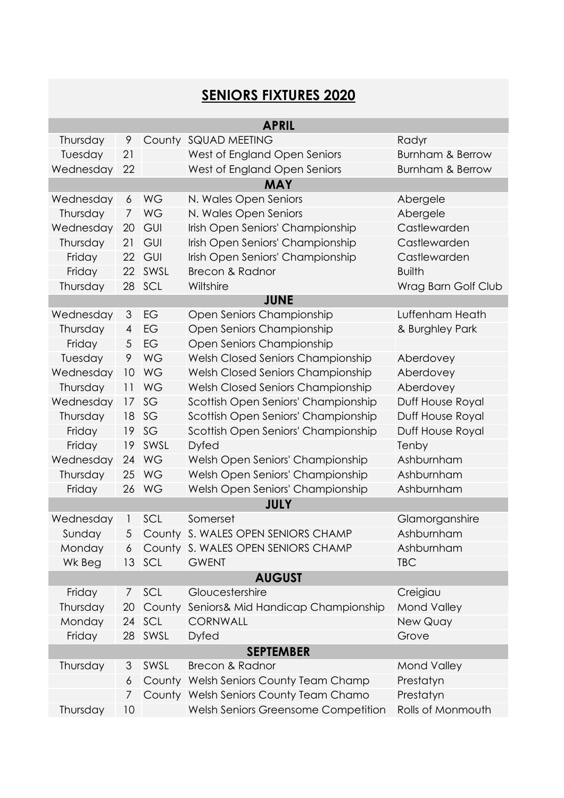## **SENIORS FIXTURES 2020**

| <b>APRIL</b>     |                 |           |                                        |                             |  |  |  |
|------------------|-----------------|-----------|----------------------------------------|-----------------------------|--|--|--|
| Thursday         | 9               |           | County SQUAD MEETING                   | Radyr                       |  |  |  |
| Tuesday          | 21              |           | West of England Open Seniors           | <b>Burnham &amp; Berrow</b> |  |  |  |
| Wednesday        | 22              |           | West of England Open Seniors           | <b>Burnham &amp; Berrow</b> |  |  |  |
| <b>MAY</b>       |                 |           |                                        |                             |  |  |  |
| Wednesday        | 6               | WG        | N. Wales Open Seniors                  | Abergele                    |  |  |  |
| Thursday         | $\overline{7}$  | WG        | N. Wales Open Seniors                  | Abergele                    |  |  |  |
| Wednesday        | 20              | GUI       | Irish Open Seniors' Championship       | Castlewarden                |  |  |  |
| Thursday         | 21              | GUI       | Irish Open Seniors' Championship       | Castlewarden                |  |  |  |
| Friday           | 22              | GUI       | Irish Open Seniors' Championship       | Castlewarden                |  |  |  |
| Friday           | 22              | SWSL      | <b>Brecon &amp; Radnor</b>             | <b>Builth</b>               |  |  |  |
| Thursday         | 28              | SCL       | Wiltshire                              | Wrag Barn Golf Club         |  |  |  |
| <b>JUNE</b>      |                 |           |                                        |                             |  |  |  |
| Wednesday        | 3               | EG        | Open Seniors Championship              | Luffenham Heath             |  |  |  |
| Thursday         | $\overline{4}$  | EG        | Open Seniors Championship              | & Burghley Park             |  |  |  |
| Friday           | 5               | EG        | Open Seniors Championship              |                             |  |  |  |
| Tuesday          | 9               | WG        | Welsh Closed Seniors Championship      | Aberdovey                   |  |  |  |
| Wednesday        | 10              | WG        | Welsh Closed Seniors Championship      | Aberdovey                   |  |  |  |
| Thursday         | 11              | WG        | Welsh Closed Seniors Championship      | Aberdovey                   |  |  |  |
| Wednesday        | 17              | SG        | Scottish Open Seniors' Championship    | Duff House Royal            |  |  |  |
| Thursday         | 18              | SG        | Scottish Open Seniors' Championship    | Duff House Royal            |  |  |  |
| Friday           | 19              | SG        | Scottish Open Seniors' Championship    | Duff House Royal            |  |  |  |
| Friday           | 19              | SWSL      | <b>Dyfed</b>                           | Tenby                       |  |  |  |
| Wednesday        | 24              | WG        | Welsh Open Seniors' Championship       | Ashburnham                  |  |  |  |
| Thursday         | 25              | <b>WG</b> | Welsh Open Seniors' Championship       | Ashburnham                  |  |  |  |
| Friday           | 26              | <b>WG</b> | Welsh Open Seniors' Championship       | Ashburnham                  |  |  |  |
| <b>JULY</b>      |                 |           |                                        |                             |  |  |  |
| Wednesday        | 1               | SCL       | Somerset                               | Glamorganshire              |  |  |  |
| Sunday           | 5               |           | County S. WALES OPEN SENIORS CHAMP     | Ashburnham                  |  |  |  |
| Monday           | 6               |           | County S. WALES OPEN SENIORS CHAMP     | Ashburnham                  |  |  |  |
| Wk Beg           | 13 <sup>°</sup> | SCL       | <b>GWENT</b>                           | <b>TBC</b>                  |  |  |  |
| <b>AUGUST</b>    |                 |           |                                        |                             |  |  |  |
| Friday           | $\prime$        | SCL       | Gloucestershire                        | Creigiau                    |  |  |  |
| Thursday         | 20              | County    | Seniors& Mid Handicap Championship     | <b>Mond Valley</b>          |  |  |  |
| Monday           | 24              | SCL       | <b>CORNWALL</b>                        | New Quay                    |  |  |  |
| Friday           | 28              | SWSL      | <b>Dyfed</b>                           | Grove                       |  |  |  |
| <b>SEPTEMBER</b> |                 |           |                                        |                             |  |  |  |
| Thursday         | 3               | SWSL      | <b>Brecon &amp; Radnor</b>             | <b>Mond Valley</b>          |  |  |  |
|                  | 6               | County    | Welsh Seniors County Team Champ        | Prestatyn                   |  |  |  |
|                  | 7               |           | County Welsh Seniors County Team Chamo | Prestatyn                   |  |  |  |
| Thursday         | 10              |           | Welsh Seniors Greensome Competition    | Rolls of Monmouth           |  |  |  |